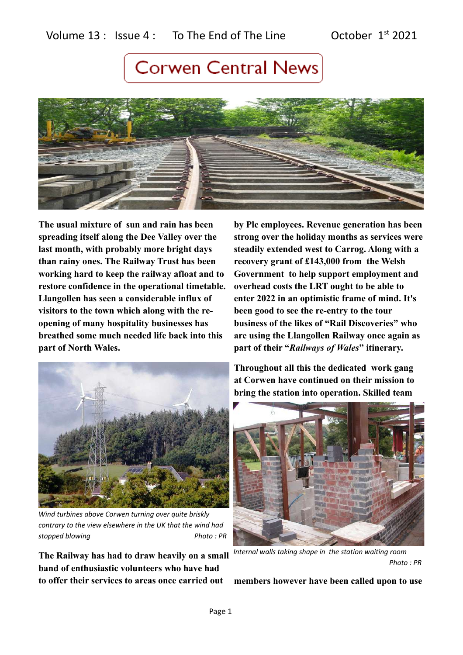

**The usual mixture of sun and rain has been spreading itself along the Dee Valley over the last month, with probably more bright days than rainy ones. The Railway Trust has been working hard to keep the railway afloat and to restore confidence in the operational timetable. Llangollen has seen a considerable influx of visitors to the town which along with the reopening of many hospitality businesses has breathed some much needed life back into this part of North Wales.** 

**by Plc employees. Revenue generation has been strong over the holiday months as services were steadily extended west to Carrog. Along with a recovery grant of £143,000 from the Welsh Government to help support employment and overhead costs the LRT ought to be able to enter 2022 in an optimistic frame of mind. It's been good to see the re-entry to the tour business of the likes of "Rail Discoveries" who are using the Llangollen Railway once again as part of their "***Railways of Wales***" itinerary.** 



*Wind turbines above Corwen turning over quite briskly contrary to the view elsewhere in the UK that the wind had stopped blowing* example  $P$ *Photo : PR* 

**The Railway has had to draw heavily on a small band of enthusiastic volunteers who have had to offer their services to areas once carried out** 

**Throughout all this the dedicated work gang at Corwen have continued on their mission to bring the station into operation. Skilled team** 



*Internal walls taking shape in the station waiting room Photo : PR*

**members however have been called upon to use**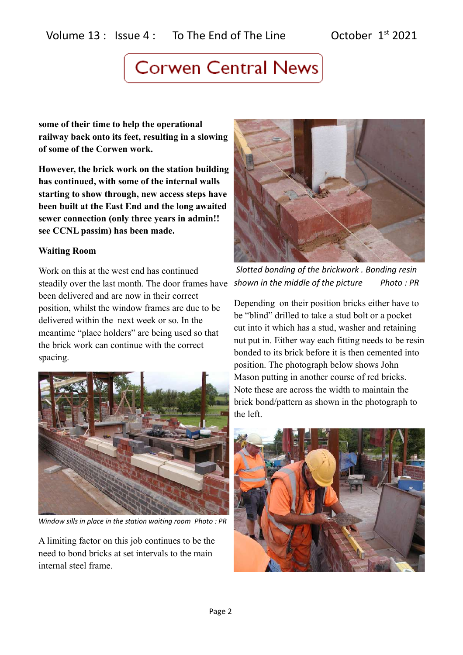**some of their time to help the operational railway back onto its feet, resulting in a slowing of some of the Corwen work.** 

**However, the brick work on the station building has continued, with some of the internal walls starting to show through, new access steps have been built at the East End and the long awaited sewer connection (only three years in admin!! see CCNL passim) has been made.**

### **Waiting Room**

Work on this at the west end has continued steadily over the last month. The door frames have *shown in the middle of the picture Photo : PR*been delivered and are now in their correct position, whilst the window frames are due to be delivered within the next week or so. In the meantime "place holders" are being used so that the brick work can continue with the correct spacing.



*Window sills in place in the station waiting room Photo : PR*

A limiting factor on this job continues to be the need to bond bricks at set intervals to the main internal steel frame.



 *Slotted bonding of the brickwork . Bonding resin* 

Depending on their position bricks either have to be "blind" drilled to take a stud bolt or a pocket cut into it which has a stud, washer and retaining nut put in. Either way each fitting needs to be resin bonded to its brick before it is then cemented into position. The photograph below shows John Mason putting in another course of red bricks. Note these are across the width to maintain the brick bond/pattern as shown in the photograph to the left.

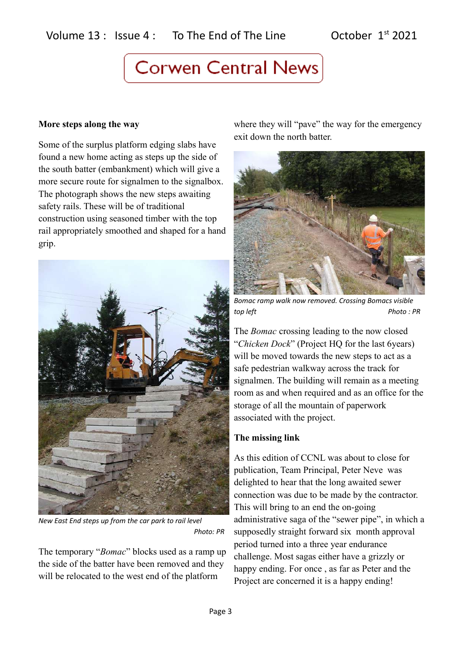#### **More steps along the way**

Some of the surplus platform edging slabs have found a new home acting as steps up the side of the south batter (embankment) which will give a more secure route for signalmen to the signalbox. The photograph shows the new steps awaiting safety rails. These will be of traditional construction using seasoned timber with the top rail appropriately smoothed and shaped for a hand grip.



*New East End steps up from the car park to rail level Photo: PR*

The temporary "*Bomac*" blocks used as a ramp up the side of the batter have been removed and they will be relocated to the west end of the platform

where they will "pave" the way for the emergency exit down the north batter.



*Bomac ramp walk now removed. Crossing Bomacs visible top left Photo : PR*

The *Bomac* crossing leading to the now closed "*Chicken Dock*" (Project HQ for the last 6years) will be moved towards the new steps to act as a safe pedestrian walkway across the track for signalmen. The building will remain as a meeting room as and when required and as an office for the storage of all the mountain of paperwork associated with the project.

#### **The missing link**

As this edition of CCNL was about to close for publication, Team Principal, Peter Neve was delighted to hear that the long awaited sewer connection was due to be made by the contractor. This will bring to an end the on-going administrative saga of the "sewer pipe", in which a supposedly straight forward six month approval period turned into a three year endurance challenge. Most sagas either have a grizzly or happy ending. For once , as far as Peter and the Project are concerned it is a happy ending!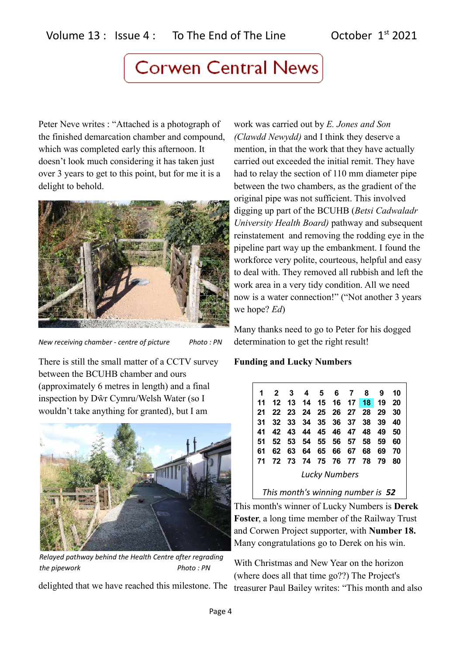Peter Neve writes : "Attached is a photograph of the finished demarcation chamber and compound, which was completed early this afternoon. It doesn't look much considering it has taken just over 3 years to get to this point, but for me it is a delight to behold.



*New receiving chamber - centre of picture* Photo : PN

There is still the small matter of a CCTV survey between the BCUHB chamber and ours (approximately 6 metres in length) and a final inspection by Dŵr Cymru/Welsh Water (so I wouldn't take anything for granted), but I am



*Relayed pathway behind the Health Centre after regrading the pipework Photo : PN*

delighted that we have reached this milestone. The

work was carried out by *E. Jones and Son (Clawdd Newydd)* and I think they deserve a mention, in that the work that they have actually carried out exceeded the initial remit. They have had to relay the section of 110 mm diameter pipe between the two chambers, as the gradient of the original pipe was not sufficient. This involved digging up part of the BCUHB (*Betsi Cadwaladr University Health Board)* pathway and subsequent reinstatement and removing the rodding eye in the pipeline part way up the embankment. I found the workforce very polite, courteous, helpful and easy to deal with. They removed all rubbish and left the work area in a very tidy condition. All we need now is a water connection!" ("Not another 3 years we hope? *Ed*)

Many thanks need to go to Peter for his dogged determination to get the right result!

### **Funding and Lucky Numbers**

| 1                    | 2 3 4 5 6 7 8 |       |  |  |  |                         |    | 910  |     |
|----------------------|---------------|-------|--|--|--|-------------------------|----|------|-----|
| 11                   |               |       |  |  |  | 12 13 14 15 16 17 18 19 |    |      | -20 |
| 21                   |               |       |  |  |  | 22 23 24 25 26 27 28 29 |    |      | 30  |
| 31                   |               |       |  |  |  | 32 33 34 35 36 37 38 39 |    |      | 40  |
| 41                   |               |       |  |  |  | 42 43 44 45 46 47 48 49 |    |      | 50  |
| 51                   |               |       |  |  |  | 52 53 54 55 56 57 58    |    | - 59 | 60  |
| 61                   |               | 62 63 |  |  |  | 64 65 66 67             | 68 | 69   | 70  |
| 71                   |               |       |  |  |  | 72 73 74 75 76 77 78 79 |    |      | 80  |
| <b>Lucky Numbers</b> |               |       |  |  |  |                         |    |      |     |

*This month's winning number is 52*

This month's winner of Lucky Numbers is **Derek Foster**, a long time member of the Railway Trust and Corwen Project supporter, with **Number 18.**  Many congratulations go to Derek on his win.

With Christmas and New Year on the horizon (where does all that time go??) The Project's treasurer Paul Bailey writes: "This month and also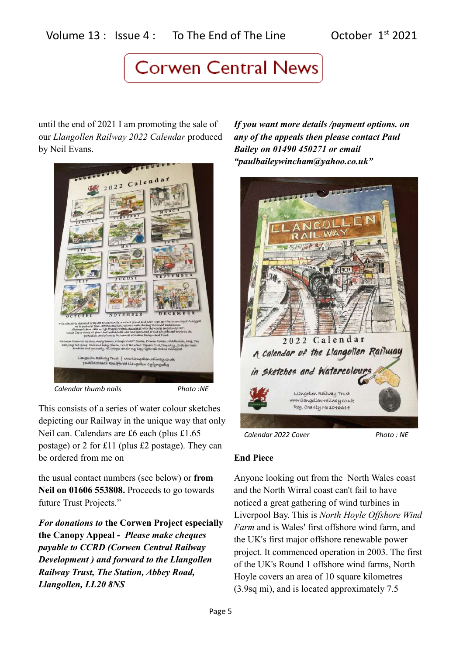until the end of 2021 I am promoting the sale of our *Llangollen Railway 2022 Calendar* produced by Neil Evans.



*Calendar thumb nails Photo :NE*

This consists of a series of water colour sketches depicting our Railway in the unique way that only Neil can. Calendars are £6 each (plus £1.65 postage) or 2 for £11 (plus £2 postage). They can be ordered from me on

the usual contact numbers (see below) or **from Neil on 01606 553808.** Proceeds to go towards future Trust Projects."

*For donations to* **the Corwen Project especially the Canopy Appeal -** *Please make cheques payable to CCRD (Corwen Central Railway Development ) and forward to the Llangollen Railway Trust, The Station, Abbey Road, Llangollen, LL20 8NS*

*If you want more details /payment options. on any of the appeals then please contact Paul Bailey on 01490 450271 or email "paulbaileywincham@yahoo.co.uk"*



### **End Piece**

Anyone looking out from the North Wales coast and the North Wirral coast can't fail to have noticed a great gathering of wind turbines in Liverpool Bay. This is *North Hoyle Offshore Wind Farm* and is Wales' first offshore wind farm, and the UK's first major offshore renewable power project. It commenced operation in 2003. The first of the UK's Round 1 offshore wind farms, North Hoyle covers an area of 10 square kilometres (3.9sq mi), and is located approximately 7.5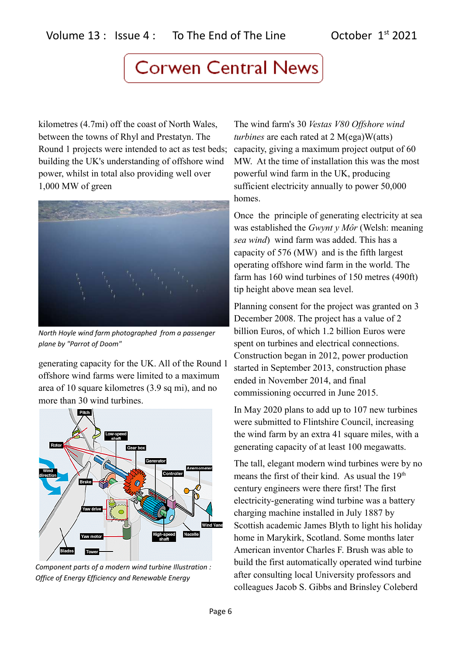kilometres (4.7mi) off the coast of North Wales, between the towns of Rhyl and Prestatyn. The Round 1 projects were intended to act as test beds; building the UK's understanding of offshore wind power, whilst in total also providing well over 1,000 MW of green



*North Hoyle wind farm photographed from a passenger plane by "Parrot of Doom"*

generating capacity for the UK. All of the Round 1 offshore wind farms were limited to a maximum area of 10 square kilometres (3.9 sq mi), and no more than 30 wind turbines.



*Component parts of a modern wind turbine Illustration : Office of Energy Efficiency and Renewable Energy*

The wind farm's 30 *Vestas V80 Offshore wind turbines* are each rated at 2 M(ega)W(atts) capacity, giving a maximum project output of 60 MW. At the time of installation this was the most powerful wind farm in the UK, producing sufficient electricity annually to power 50,000 homes.

Once the principle of generating electricity at sea was established the *Gwynt y Môr* (Welsh: meaning *sea wind*) wind farm was added. This has a capacity of 576 (MW) and is the fifth largest operating offshore wind farm in the world. The farm has 160 wind turbines of 150 metres (490ft) tip height above mean sea level.

Planning consent for the project was granted on 3 December 2008. The project has a value of 2 billion Euros, of which 1.2 billion Euros were spent on turbines and electrical connections. Construction began in 2012, power production started in September 2013, construction phase ended in November 2014, and final commissioning occurred in June 2015.

In May 2020 plans to add up to 107 new turbines were submitted to Flintshire Council, increasing the wind farm by an extra 41 square miles, with a generating capacity of at least 100 megawatts.

The tall, elegant modern wind turbines were by no means the first of their kind. As usual the 19<sup>th</sup> century engineers were there first! The first electricity-generating wind turbine was a battery charging machine installed in July 1887 by Scottish academic James Blyth to light his holiday home in Marykirk, Scotland. Some months later American inventor Charles F. Brush was able to build the first automatically operated wind turbine after consulting local University professors and colleagues Jacob S. Gibbs and Brinsley Coleberd